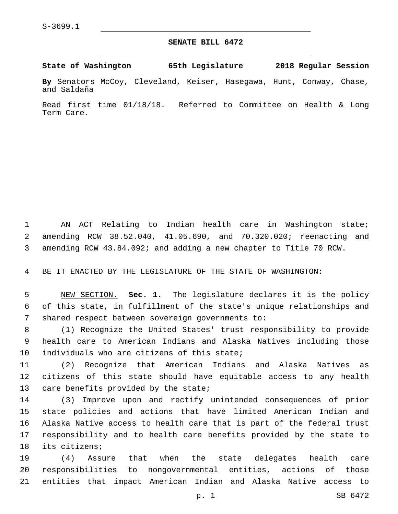## **SENATE BILL 6472**

**State of Washington 65th Legislature 2018 Regular Session**

**By** Senators McCoy, Cleveland, Keiser, Hasegawa, Hunt, Conway, Chase, and Saldaña

Read first time 01/18/18. Referred to Committee on Health & Long Term Care.

 AN ACT Relating to Indian health care in Washington state; amending RCW 38.52.040, 41.05.690, and 70.320.020; reenacting and amending RCW 43.84.092; and adding a new chapter to Title 70 RCW.

BE IT ENACTED BY THE LEGISLATURE OF THE STATE OF WASHINGTON:

 NEW SECTION. **Sec. 1.** The legislature declares it is the policy of this state, in fulfillment of the state's unique relationships and shared respect between sovereign governments to:

 (1) Recognize the United States' trust responsibility to provide health care to American Indians and Alaska Natives including those individuals who are citizens of this state;

 (2) Recognize that American Indians and Alaska Natives as citizens of this state should have equitable access to any health 13 care benefits provided by the state;

 (3) Improve upon and rectify unintended consequences of prior state policies and actions that have limited American Indian and Alaska Native access to health care that is part of the federal trust responsibility and to health care benefits provided by the state to 18 its citizens;

 (4) Assure that when the state delegates health care responsibilities to nongovernmental entities, actions of those entities that impact American Indian and Alaska Native access to

p. 1 SB 6472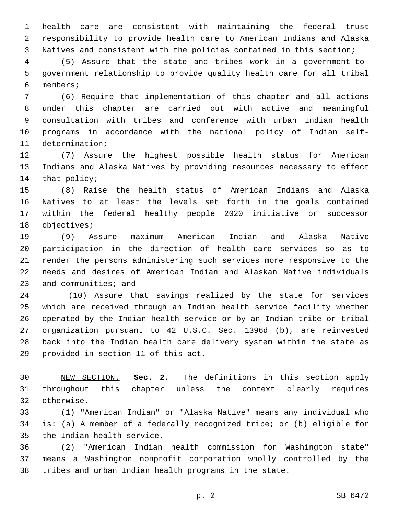health care are consistent with maintaining the federal trust responsibility to provide health care to American Indians and Alaska Natives and consistent with the policies contained in this section;

 (5) Assure that the state and tribes work in a government-to- government relationship to provide quality health care for all tribal members;6

 (6) Require that implementation of this chapter and all actions under this chapter are carried out with active and meaningful consultation with tribes and conference with urban Indian health programs in accordance with the national policy of Indian self-11 determination;

 (7) Assure the highest possible health status for American Indians and Alaska Natives by providing resources necessary to effect 14 that policy;

 (8) Raise the health status of American Indians and Alaska Natives to at least the levels set forth in the goals contained within the federal healthy people 2020 initiative or successor 18 objectives;

 (9) Assure maximum American Indian and Alaska Native participation in the direction of health care services so as to render the persons administering such services more responsive to the needs and desires of American Indian and Alaskan Native individuals 23 and communities; and

 (10) Assure that savings realized by the state for services which are received through an Indian health service facility whether operated by the Indian health service or by an Indian tribe or tribal organization pursuant to 42 U.S.C. Sec. 1396d (b), are reinvested back into the Indian health care delivery system within the state as 29 provided in section 11 of this act.

 NEW SECTION. **Sec. 2.** The definitions in this section apply throughout this chapter unless the context clearly requires otherwise.

 (1) "American Indian" or "Alaska Native" means any individual who is: (a) A member of a federally recognized tribe; or (b) eligible for 35 the Indian health service.

 (2) "American Indian health commission for Washington state" means a Washington nonprofit corporation wholly controlled by the tribes and urban Indian health programs in the state.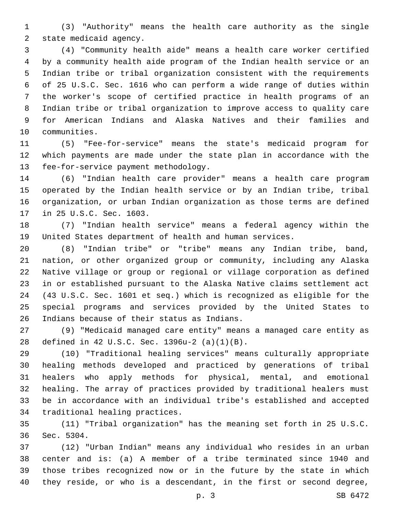(3) "Authority" means the health care authority as the single 2 state medicaid agency.

 (4) "Community health aide" means a health care worker certified by a community health aide program of the Indian health service or an Indian tribe or tribal organization consistent with the requirements of 25 U.S.C. Sec. 1616 who can perform a wide range of duties within the worker's scope of certified practice in health programs of an Indian tribe or tribal organization to improve access to quality care for American Indians and Alaska Natives and their families and 10 communities.

 (5) "Fee-for-service" means the state's medicaid program for which payments are made under the state plan in accordance with the 13 fee-for-service payment methodology.

 (6) "Indian health care provider" means a health care program operated by the Indian health service or by an Indian tribe, tribal organization, or urban Indian organization as those terms are defined 17 in 25 U.S.C. Sec. 1603.

 (7) "Indian health service" means a federal agency within the United States department of health and human services.

 (8) "Indian tribe" or "tribe" means any Indian tribe, band, nation, or other organized group or community, including any Alaska Native village or group or regional or village corporation as defined in or established pursuant to the Alaska Native claims settlement act (43 U.S.C. Sec. 1601 et seq.) which is recognized as eligible for the special programs and services provided by the United States to 26 Indians because of their status as Indians.

 (9) "Medicaid managed care entity" means a managed care entity as defined in 42 U.S.C. Sec. 1396u-2 (a)(1)(B).28

 (10) "Traditional healing services" means culturally appropriate healing methods developed and practiced by generations of tribal healers who apply methods for physical, mental, and emotional healing. The array of practices provided by traditional healers must be in accordance with an individual tribe's established and accepted 34 traditional healing practices.

 (11) "Tribal organization" has the meaning set forth in 25 U.S.C. 36 Sec. 5304.

 (12) "Urban Indian" means any individual who resides in an urban center and is: (a) A member of a tribe terminated since 1940 and those tribes recognized now or in the future by the state in which they reside, or who is a descendant, in the first or second degree,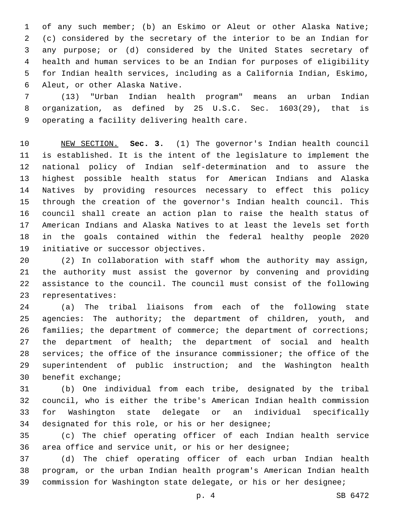of any such member; (b) an Eskimo or Aleut or other Alaska Native; (c) considered by the secretary of the interior to be an Indian for any purpose; or (d) considered by the United States secretary of health and human services to be an Indian for purposes of eligibility for Indian health services, including as a California Indian, Eskimo, 6 Aleut, or other Alaska Native.

 (13) "Urban Indian health program" means an urban Indian organization, as defined by 25 U.S.C. Sec. 1603(29), that is 9 operating a facility delivering health care.

 NEW SECTION. **Sec. 3.** (1) The governor's Indian health council is established. It is the intent of the legislature to implement the national policy of Indian self-determination and to assure the highest possible health status for American Indians and Alaska Natives by providing resources necessary to effect this policy through the creation of the governor's Indian health council. This council shall create an action plan to raise the health status of American Indians and Alaska Natives to at least the levels set forth in the goals contained within the federal healthy people 2020 initiative or successor objectives.

 (2) In collaboration with staff whom the authority may assign, the authority must assist the governor by convening and providing assistance to the council. The council must consist of the following 23 representatives:

 (a) The tribal liaisons from each of the following state agencies: The authority; the department of children, youth, and 26 families; the department of commerce; the department of corrections; the department of health; the department of social and health services; the office of the insurance commissioner; the office of the superintendent of public instruction; and the Washington health 30 benefit exchange;

 (b) One individual from each tribe, designated by the tribal council, who is either the tribe's American Indian health commission for Washington state delegate or an individual specifically 34 designated for this role, or his or her designee;

 (c) The chief operating officer of each Indian health service area office and service unit, or his or her designee;

 (d) The chief operating officer of each urban Indian health program, or the urban Indian health program's American Indian health commission for Washington state delegate, or his or her designee;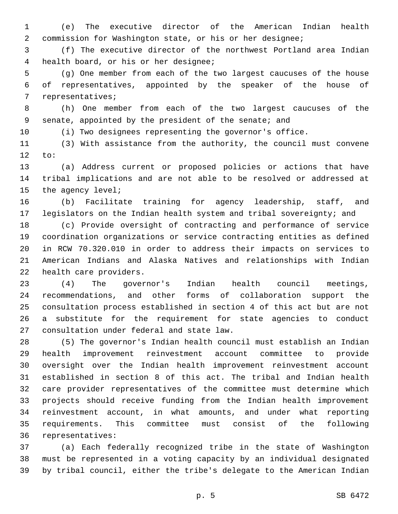(e) The executive director of the American Indian health commission for Washington state, or his or her designee;

 (f) The executive director of the northwest Portland area Indian health board, or his or her designee;4

 (g) One member from each of the two largest caucuses of the house of representatives, appointed by the speaker of the house of 7 representatives;

 (h) One member from each of the two largest caucuses of the senate, appointed by the president of the senate; and

(i) Two designees representing the governor's office.

 (3) With assistance from the authority, the council must convene to:

 (a) Address current or proposed policies or actions that have tribal implications and are not able to be resolved or addressed at 15 the agency level;

 (b) Facilitate training for agency leadership, staff, and legislators on the Indian health system and tribal sovereignty; and

 (c) Provide oversight of contracting and performance of service coordination organizations or service contracting entities as defined in RCW 70.320.010 in order to address their impacts on services to American Indians and Alaska Natives and relationships with Indian 22 health care providers.

 (4) The governor's Indian health council meetings, recommendations, and other forms of collaboration support the consultation process established in section 4 of this act but are not a substitute for the requirement for state agencies to conduct 27 consultation under federal and state law.

 (5) The governor's Indian health council must establish an Indian health improvement reinvestment account committee to provide oversight over the Indian health improvement reinvestment account established in section 8 of this act. The tribal and Indian health care provider representatives of the committee must determine which projects should receive funding from the Indian health improvement reinvestment account, in what amounts, and under what reporting requirements. This committee must consist of the following 36 representatives:

 (a) Each federally recognized tribe in the state of Washington must be represented in a voting capacity by an individual designated by tribal council, either the tribe's delegate to the American Indian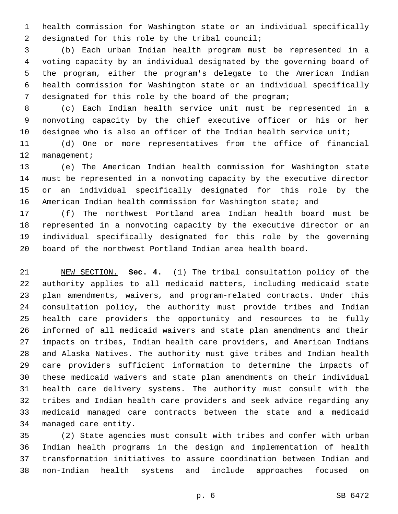health commission for Washington state or an individual specifically 2 designated for this role by the tribal council;

 (b) Each urban Indian health program must be represented in a voting capacity by an individual designated by the governing board of the program, either the program's delegate to the American Indian health commission for Washington state or an individual specifically designated for this role by the board of the program;

 (c) Each Indian health service unit must be represented in a nonvoting capacity by the chief executive officer or his or her designee who is also an officer of the Indian health service unit;

 (d) One or more representatives from the office of financial 12 management;

 (e) The American Indian health commission for Washington state must be represented in a nonvoting capacity by the executive director or an individual specifically designated for this role by the American Indian health commission for Washington state; and

 (f) The northwest Portland area Indian health board must be represented in a nonvoting capacity by the executive director or an individual specifically designated for this role by the governing board of the northwest Portland Indian area health board.

 NEW SECTION. **Sec. 4.** (1) The tribal consultation policy of the authority applies to all medicaid matters, including medicaid state plan amendments, waivers, and program-related contracts. Under this consultation policy, the authority must provide tribes and Indian health care providers the opportunity and resources to be fully informed of all medicaid waivers and state plan amendments and their impacts on tribes, Indian health care providers, and American Indians and Alaska Natives. The authority must give tribes and Indian health care providers sufficient information to determine the impacts of these medicaid waivers and state plan amendments on their individual health care delivery systems. The authority must consult with the tribes and Indian health care providers and seek advice regarding any medicaid managed care contracts between the state and a medicaid managed care entity.

 (2) State agencies must consult with tribes and confer with urban Indian health programs in the design and implementation of health transformation initiatives to assure coordination between Indian and non-Indian health systems and include approaches focused on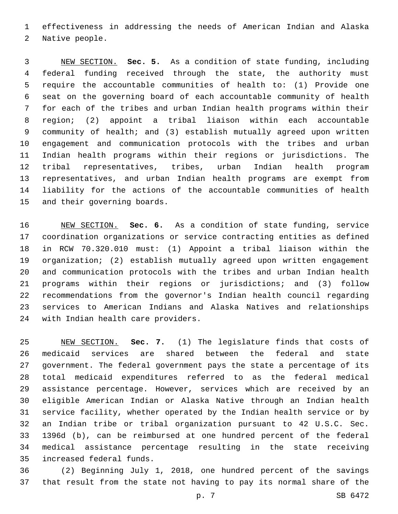effectiveness in addressing the needs of American Indian and Alaska 2 Native people.

 NEW SECTION. **Sec. 5.** As a condition of state funding, including federal funding received through the state, the authority must require the accountable communities of health to: (1) Provide one seat on the governing board of each accountable community of health for each of the tribes and urban Indian health programs within their region; (2) appoint a tribal liaison within each accountable community of health; and (3) establish mutually agreed upon written engagement and communication protocols with the tribes and urban Indian health programs within their regions or jurisdictions. The tribal representatives, tribes, urban Indian health program representatives, and urban Indian health programs are exempt from liability for the actions of the accountable communities of health and their governing boards.

 NEW SECTION. **Sec. 6.** As a condition of state funding, service coordination organizations or service contracting entities as defined in RCW 70.320.010 must: (1) Appoint a tribal liaison within the organization; (2) establish mutually agreed upon written engagement and communication protocols with the tribes and urban Indian health programs within their regions or jurisdictions; and (3) follow recommendations from the governor's Indian health council regarding services to American Indians and Alaska Natives and relationships with Indian health care providers.

 NEW SECTION. **Sec. 7.** (1) The legislature finds that costs of medicaid services are shared between the federal and state government. The federal government pays the state a percentage of its total medicaid expenditures referred to as the federal medical assistance percentage. However, services which are received by an eligible American Indian or Alaska Native through an Indian health service facility, whether operated by the Indian health service or by an Indian tribe or tribal organization pursuant to 42 U.S.C. Sec. 1396d (b), can be reimbursed at one hundred percent of the federal medical assistance percentage resulting in the state receiving increased federal funds.

 (2) Beginning July 1, 2018, one hundred percent of the savings that result from the state not having to pay its normal share of the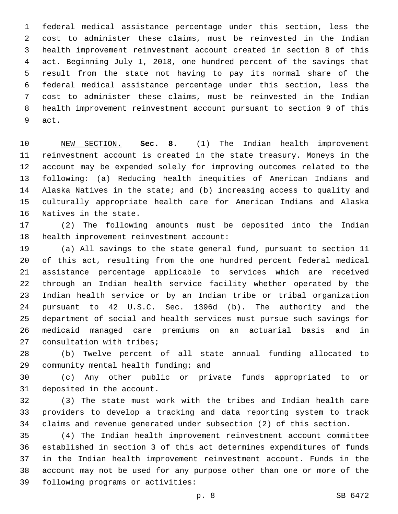federal medical assistance percentage under this section, less the cost to administer these claims, must be reinvested in the Indian health improvement reinvestment account created in section 8 of this act. Beginning July 1, 2018, one hundred percent of the savings that result from the state not having to pay its normal share of the federal medical assistance percentage under this section, less the cost to administer these claims, must be reinvested in the Indian health improvement reinvestment account pursuant to section 9 of this 9 act.

 NEW SECTION. **Sec. 8.** (1) The Indian health improvement reinvestment account is created in the state treasury. Moneys in the account may be expended solely for improving outcomes related to the following: (a) Reducing health inequities of American Indians and Alaska Natives in the state; and (b) increasing access to quality and culturally appropriate health care for American Indians and Alaska Natives in the state.

 (2) The following amounts must be deposited into the Indian 18 health improvement reinvestment account:

 (a) All savings to the state general fund, pursuant to section 11 of this act, resulting from the one hundred percent federal medical assistance percentage applicable to services which are received through an Indian health service facility whether operated by the Indian health service or by an Indian tribe or tribal organization pursuant to 42 U.S.C. Sec. 1396d (b). The authority and the department of social and health services must pursue such savings for medicaid managed care premiums on an actuarial basis and in 27 consultation with tribes;

 (b) Twelve percent of all state annual funding allocated to 29 community mental health funding; and

 (c) Any other public or private funds appropriated to or 31 deposited in the account.

 (3) The state must work with the tribes and Indian health care providers to develop a tracking and data reporting system to track claims and revenue generated under subsection (2) of this section.

 (4) The Indian health improvement reinvestment account committee established in section 3 of this act determines expenditures of funds in the Indian health improvement reinvestment account. Funds in the account may not be used for any purpose other than one or more of the 39 following programs or activities: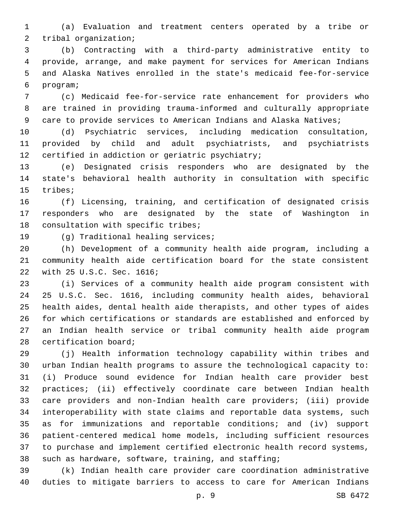(a) Evaluation and treatment centers operated by a tribe or 2 tribal organization;

 (b) Contracting with a third-party administrative entity to provide, arrange, and make payment for services for American Indians and Alaska Natives enrolled in the state's medicaid fee-for-service program;6

 (c) Medicaid fee-for-service rate enhancement for providers who are trained in providing trauma-informed and culturally appropriate 9 care to provide services to American Indians and Alaska Natives;

 (d) Psychiatric services, including medication consultation, provided by child and adult psychiatrists, and psychiatrists 12 certified in addiction or geriatric psychiatry;

 (e) Designated crisis responders who are designated by the state's behavioral health authority in consultation with specific 15 tribes;

 (f) Licensing, training, and certification of designated crisis responders who are designated by the state of Washington in 18 consultation with specific tribes;

19 (g) Traditional healing services;

 (h) Development of a community health aide program, including a community health aide certification board for the state consistent 22 with 25 U.S.C. Sec. 1616;

 (i) Services of a community health aide program consistent with 25 U.S.C. Sec. 1616, including community health aides, behavioral health aides, dental health aide therapists, and other types of aides for which certifications or standards are established and enforced by an Indian health service or tribal community health aide program 28 certification board;

 (j) Health information technology capability within tribes and urban Indian health programs to assure the technological capacity to: (i) Produce sound evidence for Indian health care provider best practices; (ii) effectively coordinate care between Indian health care providers and non-Indian health care providers; (iii) provide interoperability with state claims and reportable data systems, such as for immunizations and reportable conditions; and (iv) support patient-centered medical home models, including sufficient resources to purchase and implement certified electronic health record systems, such as hardware, software, training, and staffing;

 (k) Indian health care provider care coordination administrative duties to mitigate barriers to access to care for American Indians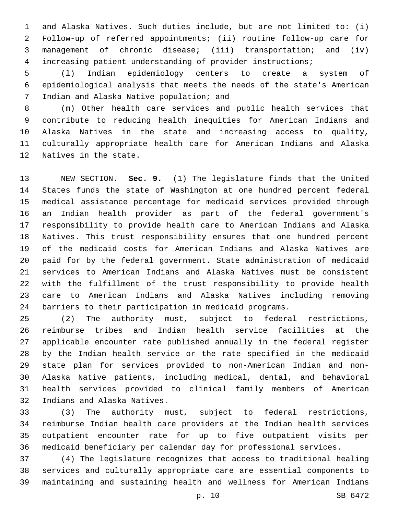and Alaska Natives. Such duties include, but are not limited to: (i) Follow-up of referred appointments; (ii) routine follow-up care for management of chronic disease; (iii) transportation; and (iv) increasing patient understanding of provider instructions;

 (l) Indian epidemiology centers to create a system of epidemiological analysis that meets the needs of the state's American 7 Indian and Alaska Native population; and

 (m) Other health care services and public health services that contribute to reducing health inequities for American Indians and Alaska Natives in the state and increasing access to quality, culturally appropriate health care for American Indians and Alaska 12 Natives in the state.

 NEW SECTION. **Sec. 9.** (1) The legislature finds that the United States funds the state of Washington at one hundred percent federal medical assistance percentage for medicaid services provided through an Indian health provider as part of the federal government's responsibility to provide health care to American Indians and Alaska Natives. This trust responsibility ensures that one hundred percent of the medicaid costs for American Indians and Alaska Natives are paid for by the federal government. State administration of medicaid services to American Indians and Alaska Natives must be consistent with the fulfillment of the trust responsibility to provide health care to American Indians and Alaska Natives including removing barriers to their participation in medicaid programs.

 (2) The authority must, subject to federal restrictions, reimburse tribes and Indian health service facilities at the applicable encounter rate published annually in the federal register by the Indian health service or the rate specified in the medicaid state plan for services provided to non-American Indian and non- Alaska Native patients, including medical, dental, and behavioral health services provided to clinical family members of American 32 Indians and Alaska Natives.

 (3) The authority must, subject to federal restrictions, reimburse Indian health care providers at the Indian health services outpatient encounter rate for up to five outpatient visits per medicaid beneficiary per calendar day for professional services.

 (4) The legislature recognizes that access to traditional healing services and culturally appropriate care are essential components to maintaining and sustaining health and wellness for American Indians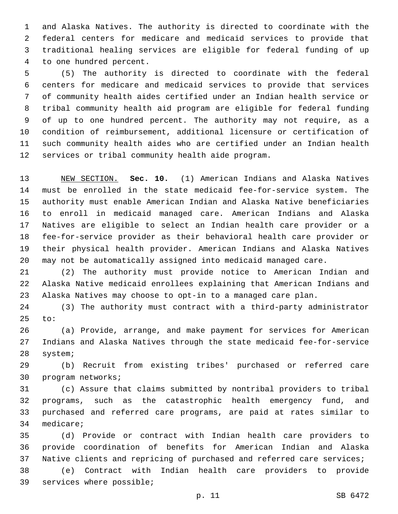and Alaska Natives. The authority is directed to coordinate with the federal centers for medicare and medicaid services to provide that traditional healing services are eligible for federal funding of up 4 to one hundred percent.

 (5) The authority is directed to coordinate with the federal centers for medicare and medicaid services to provide that services of community health aides certified under an Indian health service or tribal community health aid program are eligible for federal funding of up to one hundred percent. The authority may not require, as a condition of reimbursement, additional licensure or certification of such community health aides who are certified under an Indian health 12 services or tribal community health aide program.

 NEW SECTION. **Sec. 10.** (1) American Indians and Alaska Natives must be enrolled in the state medicaid fee-for-service system. The authority must enable American Indian and Alaska Native beneficiaries to enroll in medicaid managed care. American Indians and Alaska Natives are eligible to select an Indian health care provider or a fee-for-service provider as their behavioral health care provider or their physical health provider. American Indians and Alaska Natives may not be automatically assigned into medicaid managed care.

 (2) The authority must provide notice to American Indian and Alaska Native medicaid enrollees explaining that American Indians and Alaska Natives may choose to opt-in to a managed care plan.

 (3) The authority must contract with a third-party administrator to:

 (a) Provide, arrange, and make payment for services for American Indians and Alaska Natives through the state medicaid fee-for-service 28 system;

 (b) Recruit from existing tribes' purchased or referred care 30 program networks;

 (c) Assure that claims submitted by nontribal providers to tribal programs, such as the catastrophic health emergency fund, and purchased and referred care programs, are paid at rates similar to 34 medicare;

 (d) Provide or contract with Indian health care providers to provide coordination of benefits for American Indian and Alaska Native clients and repricing of purchased and referred care services;

 (e) Contract with Indian health care providers to provide 39 services where possible;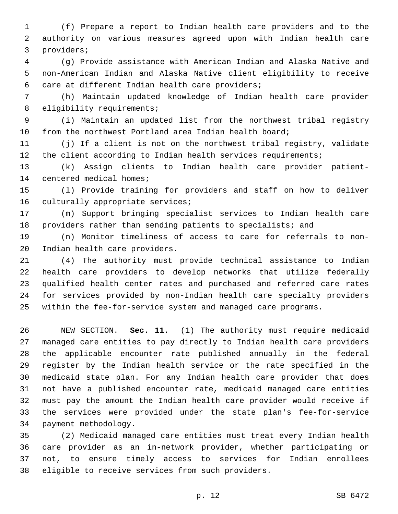(f) Prepare a report to Indian health care providers and to the authority on various measures agreed upon with Indian health care 3 providers;

 (g) Provide assistance with American Indian and Alaska Native and non-American Indian and Alaska Native client eligibility to receive 6 care at different Indian health care providers;

 (h) Maintain updated knowledge of Indian health care provider 8 eligibility requirements;

 (i) Maintain an updated list from the northwest tribal registry from the northwest Portland area Indian health board;

 (j) If a client is not on the northwest tribal registry, validate the client according to Indian health services requirements;

 (k) Assign clients to Indian health care provider patient-14 centered medical homes;

 (l) Provide training for providers and staff on how to deliver 16 culturally appropriate services;

 (m) Support bringing specialist services to Indian health care providers rather than sending patients to specialists; and

 (n) Monitor timeliness of access to care for referrals to non-20 Indian health care providers.

 (4) The authority must provide technical assistance to Indian health care providers to develop networks that utilize federally qualified health center rates and purchased and referred care rates for services provided by non-Indian health care specialty providers within the fee-for-service system and managed care programs.

 NEW SECTION. **Sec. 11.** (1) The authority must require medicaid managed care entities to pay directly to Indian health care providers the applicable encounter rate published annually in the federal register by the Indian health service or the rate specified in the medicaid state plan. For any Indian health care provider that does not have a published encounter rate, medicaid managed care entities must pay the amount the Indian health care provider would receive if the services were provided under the state plan's fee-for-service payment methodology.

 (2) Medicaid managed care entities must treat every Indian health care provider as an in-network provider, whether participating or not, to ensure timely access to services for Indian enrollees 38 eligible to receive services from such providers.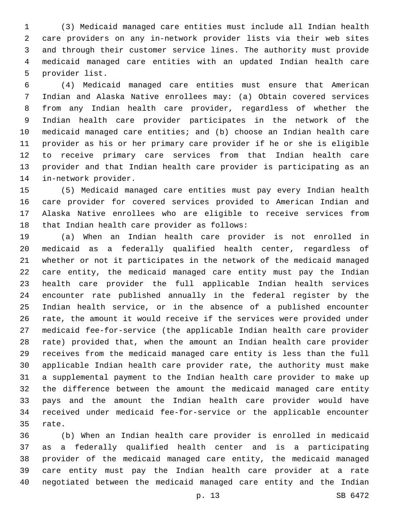(3) Medicaid managed care entities must include all Indian health care providers on any in-network provider lists via their web sites and through their customer service lines. The authority must provide medicaid managed care entities with an updated Indian health care 5 provider list.

 (4) Medicaid managed care entities must ensure that American Indian and Alaska Native enrollees may: (a) Obtain covered services from any Indian health care provider, regardless of whether the Indian health care provider participates in the network of the medicaid managed care entities; and (b) choose an Indian health care provider as his or her primary care provider if he or she is eligible to receive primary care services from that Indian health care provider and that Indian health care provider is participating as an 14 in-network provider.

 (5) Medicaid managed care entities must pay every Indian health care provider for covered services provided to American Indian and Alaska Native enrollees who are eligible to receive services from 18 that Indian health care provider as follows:

 (a) When an Indian health care provider is not enrolled in medicaid as a federally qualified health center, regardless of whether or not it participates in the network of the medicaid managed care entity, the medicaid managed care entity must pay the Indian health care provider the full applicable Indian health services encounter rate published annually in the federal register by the Indian health service, or in the absence of a published encounter rate, the amount it would receive if the services were provided under medicaid fee-for-service (the applicable Indian health care provider rate) provided that, when the amount an Indian health care provider receives from the medicaid managed care entity is less than the full applicable Indian health care provider rate, the authority must make a supplemental payment to the Indian health care provider to make up the difference between the amount the medicaid managed care entity pays and the amount the Indian health care provider would have received under medicaid fee-for-service or the applicable encounter 35 rate.

 (b) When an Indian health care provider is enrolled in medicaid as a federally qualified health center and is a participating provider of the medicaid managed care entity, the medicaid managed care entity must pay the Indian health care provider at a rate negotiated between the medicaid managed care entity and the Indian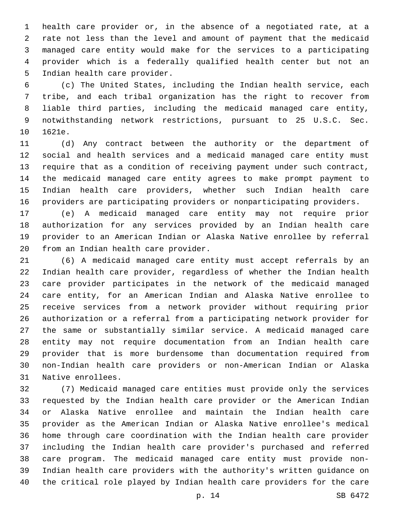health care provider or, in the absence of a negotiated rate, at a rate not less than the level and amount of payment that the medicaid managed care entity would make for the services to a participating provider which is a federally qualified health center but not an 5 Indian health care provider.

 (c) The United States, including the Indian health service, each tribe, and each tribal organization has the right to recover from liable third parties, including the medicaid managed care entity, notwithstanding network restrictions, pursuant to 25 U.S.C. Sec. 10 1621e.

 (d) Any contract between the authority or the department of social and health services and a medicaid managed care entity must require that as a condition of receiving payment under such contract, the medicaid managed care entity agrees to make prompt payment to Indian health care providers, whether such Indian health care providers are participating providers or nonparticipating providers.

 (e) A medicaid managed care entity may not require prior authorization for any services provided by an Indian health care provider to an American Indian or Alaska Native enrollee by referral 20 from an Indian health care provider.

 (6) A medicaid managed care entity must accept referrals by an Indian health care provider, regardless of whether the Indian health care provider participates in the network of the medicaid managed care entity, for an American Indian and Alaska Native enrollee to receive services from a network provider without requiring prior authorization or a referral from a participating network provider for the same or substantially similar service. A medicaid managed care entity may not require documentation from an Indian health care provider that is more burdensome than documentation required from non-Indian health care providers or non-American Indian or Alaska 31 Native enrollees.

 (7) Medicaid managed care entities must provide only the services requested by the Indian health care provider or the American Indian or Alaska Native enrollee and maintain the Indian health care provider as the American Indian or Alaska Native enrollee's medical home through care coordination with the Indian health care provider including the Indian health care provider's purchased and referred care program. The medicaid managed care entity must provide non- Indian health care providers with the authority's written guidance on the critical role played by Indian health care providers for the care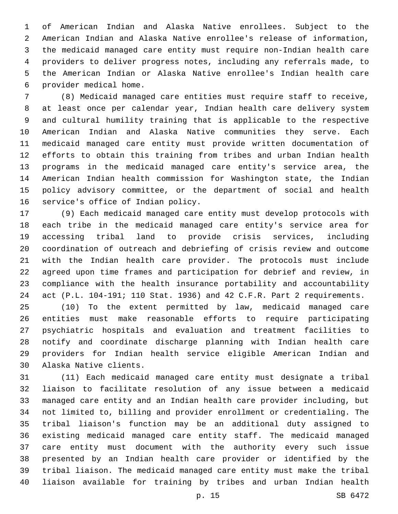of American Indian and Alaska Native enrollees. Subject to the American Indian and Alaska Native enrollee's release of information, the medicaid managed care entity must require non-Indian health care providers to deliver progress notes, including any referrals made, to the American Indian or Alaska Native enrollee's Indian health care provider medical home.6

 (8) Medicaid managed care entities must require staff to receive, at least once per calendar year, Indian health care delivery system and cultural humility training that is applicable to the respective American Indian and Alaska Native communities they serve. Each medicaid managed care entity must provide written documentation of efforts to obtain this training from tribes and urban Indian health programs in the medicaid managed care entity's service area, the American Indian health commission for Washington state, the Indian policy advisory committee, or the department of social and health 16 service's office of Indian policy.

 (9) Each medicaid managed care entity must develop protocols with each tribe in the medicaid managed care entity's service area for accessing tribal land to provide crisis services, including coordination of outreach and debriefing of crisis review and outcome with the Indian health care provider. The protocols must include agreed upon time frames and participation for debrief and review, in compliance with the health insurance portability and accountability act (P.L. 104-191; 110 Stat. 1936) and 42 C.F.R. Part 2 requirements.

 (10) To the extent permitted by law, medicaid managed care entities must make reasonable efforts to require participating psychiatric hospitals and evaluation and treatment facilities to notify and coordinate discharge planning with Indian health care providers for Indian health service eligible American Indian and 30 Alaska Native clients.

 (11) Each medicaid managed care entity must designate a tribal liaison to facilitate resolution of any issue between a medicaid managed care entity and an Indian health care provider including, but not limited to, billing and provider enrollment or credentialing. The tribal liaison's function may be an additional duty assigned to existing medicaid managed care entity staff. The medicaid managed care entity must document with the authority every such issue presented by an Indian health care provider or identified by the tribal liaison. The medicaid managed care entity must make the tribal liaison available for training by tribes and urban Indian health

p. 15 SB 6472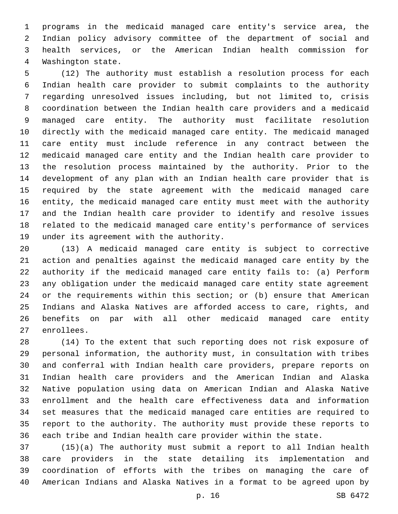programs in the medicaid managed care entity's service area, the Indian policy advisory committee of the department of social and health services, or the American Indian health commission for 4 Washington state.

 (12) The authority must establish a resolution process for each Indian health care provider to submit complaints to the authority regarding unresolved issues including, but not limited to, crisis coordination between the Indian health care providers and a medicaid managed care entity. The authority must facilitate resolution directly with the medicaid managed care entity. The medicaid managed care entity must include reference in any contract between the medicaid managed care entity and the Indian health care provider to the resolution process maintained by the authority. Prior to the development of any plan with an Indian health care provider that is required by the state agreement with the medicaid managed care entity, the medicaid managed care entity must meet with the authority and the Indian health care provider to identify and resolve issues related to the medicaid managed care entity's performance of services 19 under its agreement with the authority.

 (13) A medicaid managed care entity is subject to corrective action and penalties against the medicaid managed care entity by the authority if the medicaid managed care entity fails to: (a) Perform any obligation under the medicaid managed care entity state agreement or the requirements within this section; or (b) ensure that American Indians and Alaska Natives are afforded access to care, rights, and benefits on par with all other medicaid managed care entity 27 enrollees.

 (14) To the extent that such reporting does not risk exposure of personal information, the authority must, in consultation with tribes and conferral with Indian health care providers, prepare reports on Indian health care providers and the American Indian and Alaska Native population using data on American Indian and Alaska Native enrollment and the health care effectiveness data and information set measures that the medicaid managed care entities are required to report to the authority. The authority must provide these reports to each tribe and Indian health care provider within the state.

 (15)(a) The authority must submit a report to all Indian health care providers in the state detailing its implementation and coordination of efforts with the tribes on managing the care of American Indians and Alaska Natives in a format to be agreed upon by

p. 16 SB 6472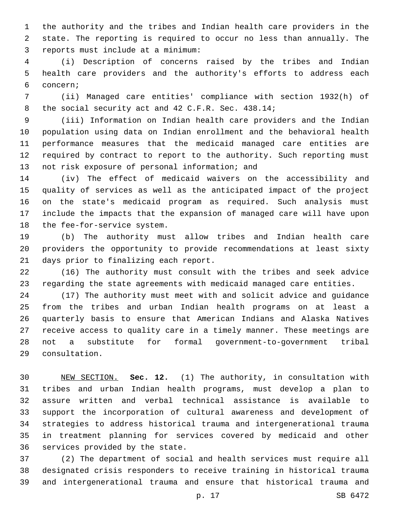the authority and the tribes and Indian health care providers in the state. The reporting is required to occur no less than annually. The reports must include at a minimum:3

 (i) Description of concerns raised by the tribes and Indian health care providers and the authority's efforts to address each concern;6

 (ii) Managed care entities' compliance with section 1932(h) of 8 the social security act and 42 C.F.R. Sec. 438.14;

 (iii) Information on Indian health care providers and the Indian population using data on Indian enrollment and the behavioral health performance measures that the medicaid managed care entities are required by contract to report to the authority. Such reporting must 13 not risk exposure of personal information; and

 (iv) The effect of medicaid waivers on the accessibility and quality of services as well as the anticipated impact of the project on the state's medicaid program as required. Such analysis must include the impacts that the expansion of managed care will have upon 18 the fee-for-service system.

 (b) The authority must allow tribes and Indian health care providers the opportunity to provide recommendations at least sixty 21 days prior to finalizing each report.

 (16) The authority must consult with the tribes and seek advice regarding the state agreements with medicaid managed care entities.

 (17) The authority must meet with and solicit advice and guidance from the tribes and urban Indian health programs on at least a quarterly basis to ensure that American Indians and Alaska Natives receive access to quality care in a timely manner. These meetings are not a substitute for formal government-to-government tribal consultation.29

 NEW SECTION. **Sec. 12.** (1) The authority, in consultation with tribes and urban Indian health programs, must develop a plan to assure written and verbal technical assistance is available to support the incorporation of cultural awareness and development of strategies to address historical trauma and intergenerational trauma in treatment planning for services covered by medicaid and other services provided by the state.

 (2) The department of social and health services must require all designated crisis responders to receive training in historical trauma and intergenerational trauma and ensure that historical trauma and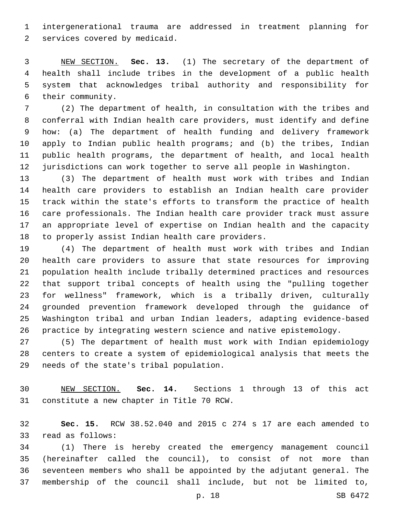intergenerational trauma are addressed in treatment planning for 2 services covered by medicaid.

 NEW SECTION. **Sec. 13.** (1) The secretary of the department of health shall include tribes in the development of a public health system that acknowledges tribal authority and responsibility for their community.

 (2) The department of health, in consultation with the tribes and conferral with Indian health care providers, must identify and define how: (a) The department of health funding and delivery framework apply to Indian public health programs; and (b) the tribes, Indian public health programs, the department of health, and local health jurisdictions can work together to serve all people in Washington.

 (3) The department of health must work with tribes and Indian health care providers to establish an Indian health care provider track within the state's efforts to transform the practice of health care professionals. The Indian health care provider track must assure an appropriate level of expertise on Indian health and the capacity 18 to properly assist Indian health care providers.

 (4) The department of health must work with tribes and Indian health care providers to assure that state resources for improving population health include tribally determined practices and resources that support tribal concepts of health using the "pulling together for wellness" framework, which is a tribally driven, culturally grounded prevention framework developed through the guidance of Washington tribal and urban Indian leaders, adapting evidence-based practice by integrating western science and native epistemology.

 (5) The department of health must work with Indian epidemiology centers to create a system of epidemiological analysis that meets the 29 needs of the state's tribal population.

 NEW SECTION. **Sec. 14.** Sections 1 through 13 of this act constitute a new chapter in Title 70 RCW.

 **Sec. 15.** RCW 38.52.040 and 2015 c 274 s 17 are each amended to 33 read as follows:

 (1) There is hereby created the emergency management council (hereinafter called the council), to consist of not more than seventeen members who shall be appointed by the adjutant general. The membership of the council shall include, but not be limited to,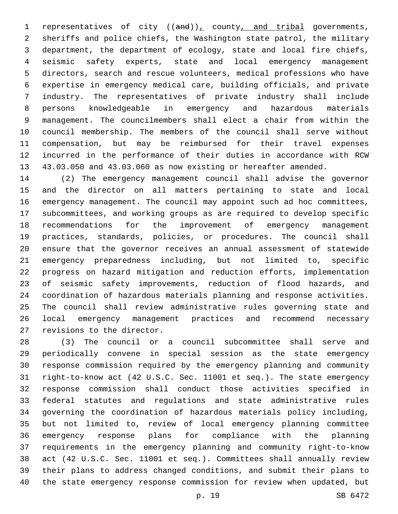1 representatives of city  $((and))_L$  county, and tribal governments, sheriffs and police chiefs, the Washington state patrol, the military department, the department of ecology, state and local fire chiefs, seismic safety experts, state and local emergency management directors, search and rescue volunteers, medical professions who have expertise in emergency medical care, building officials, and private industry. The representatives of private industry shall include persons knowledgeable in emergency and hazardous materials management. The councilmembers shall elect a chair from within the council membership. The members of the council shall serve without compensation, but may be reimbursed for their travel expenses incurred in the performance of their duties in accordance with RCW 43.03.050 and 43.03.060 as now existing or hereafter amended.

 (2) The emergency management council shall advise the governor and the director on all matters pertaining to state and local emergency management. The council may appoint such ad hoc committees, subcommittees, and working groups as are required to develop specific recommendations for the improvement of emergency management practices, standards, policies, or procedures. The council shall ensure that the governor receives an annual assessment of statewide emergency preparedness including, but not limited to, specific progress on hazard mitigation and reduction efforts, implementation of seismic safety improvements, reduction of flood hazards, and coordination of hazardous materials planning and response activities. The council shall review administrative rules governing state and local emergency management practices and recommend necessary 27 revisions to the director.

 (3) The council or a council subcommittee shall serve and periodically convene in special session as the state emergency response commission required by the emergency planning and community right-to-know act (42 U.S.C. Sec. 11001 et seq.). The state emergency response commission shall conduct those activities specified in federal statutes and regulations and state administrative rules governing the coordination of hazardous materials policy including, but not limited to, review of local emergency planning committee emergency response plans for compliance with the planning requirements in the emergency planning and community right-to-know act (42 U.S.C. Sec. 11001 et seq.). Committees shall annually review their plans to address changed conditions, and submit their plans to the state emergency response commission for review when updated, but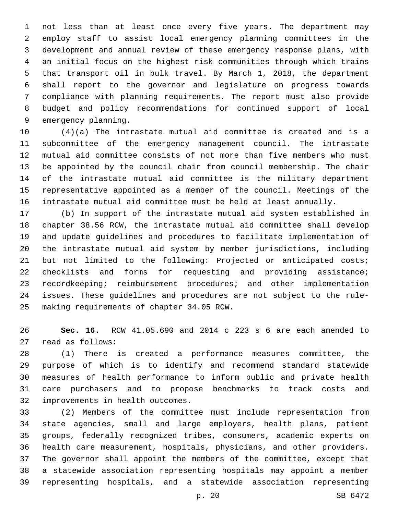not less than at least once every five years. The department may employ staff to assist local emergency planning committees in the development and annual review of these emergency response plans, with an initial focus on the highest risk communities through which trains that transport oil in bulk travel. By March 1, 2018, the department shall report to the governor and legislature on progress towards compliance with planning requirements. The report must also provide budget and policy recommendations for continued support of local 9 emergency planning.

 (4)(a) The intrastate mutual aid committee is created and is a subcommittee of the emergency management council. The intrastate mutual aid committee consists of not more than five members who must be appointed by the council chair from council membership. The chair of the intrastate mutual aid committee is the military department representative appointed as a member of the council. Meetings of the intrastate mutual aid committee must be held at least annually.

 (b) In support of the intrastate mutual aid system established in chapter 38.56 RCW, the intrastate mutual aid committee shall develop and update guidelines and procedures to facilitate implementation of the intrastate mutual aid system by member jurisdictions, including but not limited to the following: Projected or anticipated costs; checklists and forms for requesting and providing assistance; recordkeeping; reimbursement procedures; and other implementation issues. These guidelines and procedures are not subject to the rule-25 making requirements of chapter 34.05 RCW.

 **Sec. 16.** RCW 41.05.690 and 2014 c 223 s 6 are each amended to 27 read as follows:

 (1) There is created a performance measures committee, the purpose of which is to identify and recommend standard statewide measures of health performance to inform public and private health care purchasers and to propose benchmarks to track costs and 32 improvements in health outcomes.

 (2) Members of the committee must include representation from state agencies, small and large employers, health plans, patient groups, federally recognized tribes, consumers, academic experts on health care measurement, hospitals, physicians, and other providers. The governor shall appoint the members of the committee, except that a statewide association representing hospitals may appoint a member representing hospitals, and a statewide association representing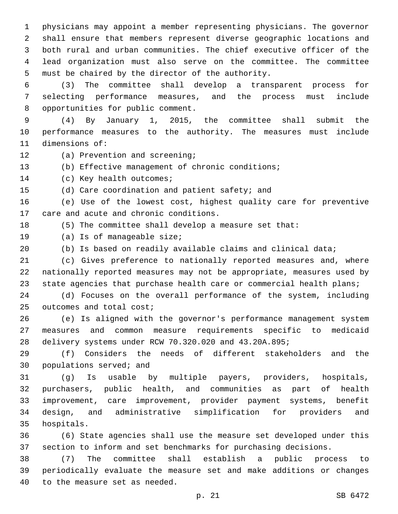physicians may appoint a member representing physicians. The governor shall ensure that members represent diverse geographic locations and both rural and urban communities. The chief executive officer of the lead organization must also serve on the committee. The committee 5 must be chaired by the director of the authority.

 (3) The committee shall develop a transparent process for selecting performance measures, and the process must include 8 opportunities for public comment.

 (4) By January 1, 2015, the committee shall submit the performance measures to the authority. The measures must include 11 dimensions of:

- 12 (a) Prevention and screening;
- (b) Effective management of chronic conditions;

14 (c) Key health outcomes;

15 (d) Care coordination and patient safety; and

 (e) Use of the lowest cost, highest quality care for preventive 17 care and acute and chronic conditions.

(5) The committee shall develop a measure set that:

- 19 (a) Is of manageable size;
- (b) Is based on readily available claims and clinical data;

 (c) Gives preference to nationally reported measures and, where nationally reported measures may not be appropriate, measures used by 23 state agencies that purchase health care or commercial health plans;

 (d) Focuses on the overall performance of the system, including 25 outcomes and total cost;

 (e) Is aligned with the governor's performance management system measures and common measure requirements specific to medicaid delivery systems under RCW 70.320.020 and 43.20A.895;

 (f) Considers the needs of different stakeholders and the 30 populations served; and

 (g) Is usable by multiple payers, providers, hospitals, purchasers, public health, and communities as part of health improvement, care improvement, provider payment systems, benefit design, and administrative simplification for providers and 35 hospitals.

 (6) State agencies shall use the measure set developed under this section to inform and set benchmarks for purchasing decisions.

 (7) The committee shall establish a public process to periodically evaluate the measure set and make additions or changes 40 to the measure set as needed.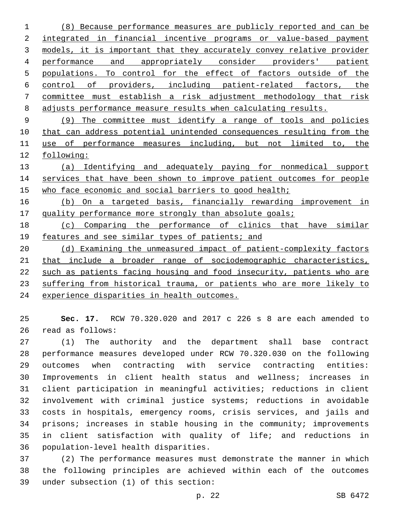(8) Because performance measures are publicly reported and can be 2 integrated in financial incentive programs or value-based payment models, it is important that they accurately convey relative provider performance and appropriately consider providers' patient populations. To control for the effect of factors outside of the control of providers, including patient-related factors, the committee must establish a risk adjustment methodology that risk adjusts performance measure results when calculating results.

 (9) The committee must identify a range of tools and policies that can address potential unintended consequences resulting from the use of performance measures including, but not limited to, the following:

 (a) Identifying and adequately paying for nonmedical support 14 services that have been shown to improve patient outcomes for people who face economic and social barriers to good health;

 (b) On a targeted basis, financially rewarding improvement in 17 quality performance more strongly than absolute goals;

 (c) Comparing the performance of clinics that have similar 19 features and see similar types of patients; and

 (d) Examining the unmeasured impact of patient-complexity factors that include a broader range of sociodemographic characteristics, such as patients facing housing and food insecurity, patients who are suffering from historical trauma, or patients who are more likely to experience disparities in health outcomes.

 **Sec. 17.** RCW 70.320.020 and 2017 c 226 s 8 are each amended to 26 read as follows:

 (1) The authority and the department shall base contract performance measures developed under RCW 70.320.030 on the following outcomes when contracting with service contracting entities: Improvements in client health status and wellness; increases in client participation in meaningful activities; reductions in client involvement with criminal justice systems; reductions in avoidable costs in hospitals, emergency rooms, crisis services, and jails and prisons; increases in stable housing in the community; improvements in client satisfaction with quality of life; and reductions in 36 population-level health disparities.

 (2) The performance measures must demonstrate the manner in which the following principles are achieved within each of the outcomes under subsection (1) of this section:39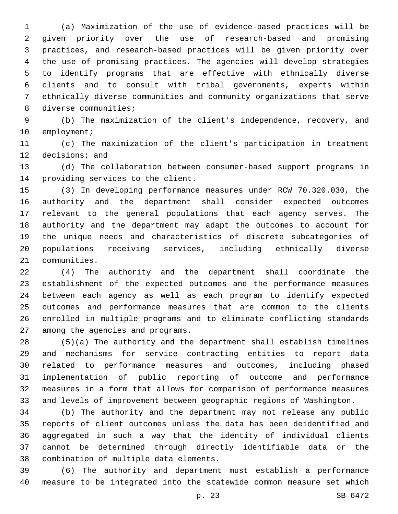(a) Maximization of the use of evidence-based practices will be given priority over the use of research-based and promising practices, and research-based practices will be given priority over the use of promising practices. The agencies will develop strategies to identify programs that are effective with ethnically diverse clients and to consult with tribal governments, experts within ethnically diverse communities and community organizations that serve 8 diverse communities;

 (b) The maximization of the client's independence, recovery, and 10 employment;

 (c) The maximization of the client's participation in treatment 12 decisions; and

 (d) The collaboration between consumer-based support programs in 14 providing services to the client.

 (3) In developing performance measures under RCW 70.320.030, the authority and the department shall consider expected outcomes relevant to the general populations that each agency serves. The authority and the department may adapt the outcomes to account for the unique needs and characteristics of discrete subcategories of populations receiving services, including ethnically diverse 21 communities.

 (4) The authority and the department shall coordinate the establishment of the expected outcomes and the performance measures between each agency as well as each program to identify expected outcomes and performance measures that are common to the clients enrolled in multiple programs and to eliminate conflicting standards 27 among the agencies and programs.

 (5)(a) The authority and the department shall establish timelines and mechanisms for service contracting entities to report data related to performance measures and outcomes, including phased implementation of public reporting of outcome and performance measures in a form that allows for comparison of performance measures and levels of improvement between geographic regions of Washington.

 (b) The authority and the department may not release any public reports of client outcomes unless the data has been deidentified and aggregated in such a way that the identity of individual clients cannot be determined through directly identifiable data or the 38 combination of multiple data elements.

 (6) The authority and department must establish a performance measure to be integrated into the statewide common measure set which

p. 23 SB 6472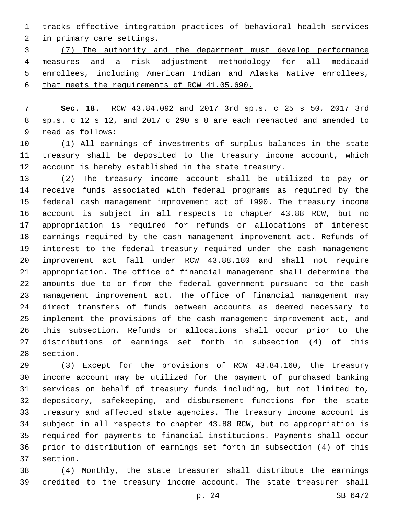tracks effective integration practices of behavioral health services 2 in primary care settings.

 (7) The authority and the department must develop performance measures and a risk adjustment methodology for all medicaid enrollees, including American Indian and Alaska Native enrollees, that meets the requirements of RCW 41.05.690.

 **Sec. 18.** RCW 43.84.092 and 2017 3rd sp.s. c 25 s 50, 2017 3rd sp.s. c 12 s 12, and 2017 c 290 s 8 are each reenacted and amended to 9 read as follows:

 (1) All earnings of investments of surplus balances in the state treasury shall be deposited to the treasury income account, which account is hereby established in the state treasury.

 (2) The treasury income account shall be utilized to pay or receive funds associated with federal programs as required by the federal cash management improvement act of 1990. The treasury income account is subject in all respects to chapter 43.88 RCW, but no appropriation is required for refunds or allocations of interest earnings required by the cash management improvement act. Refunds of interest to the federal treasury required under the cash management improvement act fall under RCW 43.88.180 and shall not require appropriation. The office of financial management shall determine the amounts due to or from the federal government pursuant to the cash management improvement act. The office of financial management may direct transfers of funds between accounts as deemed necessary to implement the provisions of the cash management improvement act, and this subsection. Refunds or allocations shall occur prior to the distributions of earnings set forth in subsection (4) of this 28 section.

 (3) Except for the provisions of RCW 43.84.160, the treasury income account may be utilized for the payment of purchased banking services on behalf of treasury funds including, but not limited to, depository, safekeeping, and disbursement functions for the state treasury and affected state agencies. The treasury income account is subject in all respects to chapter 43.88 RCW, but no appropriation is required for payments to financial institutions. Payments shall occur prior to distribution of earnings set forth in subsection (4) of this 37 section.

 (4) Monthly, the state treasurer shall distribute the earnings credited to the treasury income account. The state treasurer shall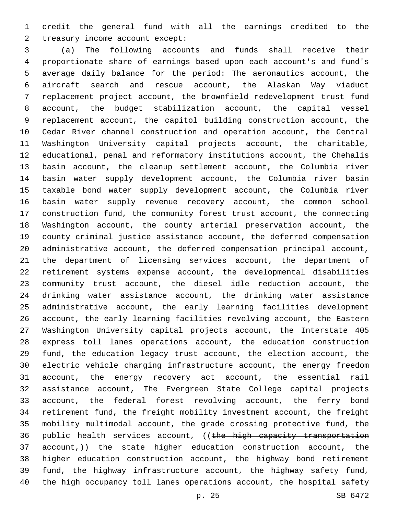credit the general fund with all the earnings credited to the 2 treasury income account except:

 (a) The following accounts and funds shall receive their proportionate share of earnings based upon each account's and fund's average daily balance for the period: The aeronautics account, the aircraft search and rescue account, the Alaskan Way viaduct replacement project account, the brownfield redevelopment trust fund account, the budget stabilization account, the capital vessel replacement account, the capitol building construction account, the Cedar River channel construction and operation account, the Central Washington University capital projects account, the charitable, educational, penal and reformatory institutions account, the Chehalis basin account, the cleanup settlement account, the Columbia river basin water supply development account, the Columbia river basin taxable bond water supply development account, the Columbia river basin water supply revenue recovery account, the common school construction fund, the community forest trust account, the connecting Washington account, the county arterial preservation account, the county criminal justice assistance account, the deferred compensation administrative account, the deferred compensation principal account, the department of licensing services account, the department of retirement systems expense account, the developmental disabilities community trust account, the diesel idle reduction account, the drinking water assistance account, the drinking water assistance administrative account, the early learning facilities development account, the early learning facilities revolving account, the Eastern Washington University capital projects account, the Interstate 405 express toll lanes operations account, the education construction fund, the education legacy trust account, the election account, the electric vehicle charging infrastructure account, the energy freedom account, the energy recovery act account, the essential rail assistance account, The Evergreen State College capital projects account, the federal forest revolving account, the ferry bond retirement fund, the freight mobility investment account, the freight mobility multimodal account, the grade crossing protective fund, the 36 public health services account, ((the high capacity transportation account,)) the state higher education construction account, the higher education construction account, the highway bond retirement fund, the highway infrastructure account, the highway safety fund, the high occupancy toll lanes operations account, the hospital safety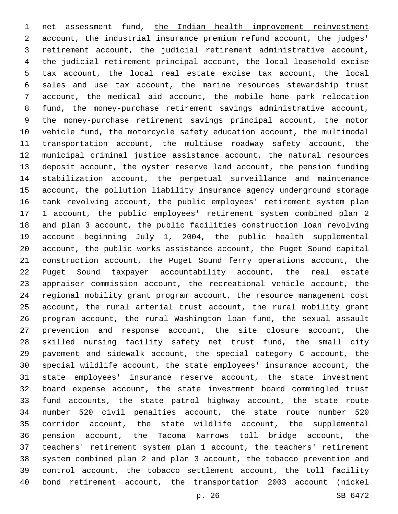net assessment fund, the Indian health improvement reinvestment account, the industrial insurance premium refund account, the judges' retirement account, the judicial retirement administrative account, the judicial retirement principal account, the local leasehold excise tax account, the local real estate excise tax account, the local sales and use tax account, the marine resources stewardship trust account, the medical aid account, the mobile home park relocation fund, the money-purchase retirement savings administrative account, the money-purchase retirement savings principal account, the motor vehicle fund, the motorcycle safety education account, the multimodal transportation account, the multiuse roadway safety account, the municipal criminal justice assistance account, the natural resources deposit account, the oyster reserve land account, the pension funding stabilization account, the perpetual surveillance and maintenance account, the pollution liability insurance agency underground storage tank revolving account, the public employees' retirement system plan 1 account, the public employees' retirement system combined plan 2 and plan 3 account, the public facilities construction loan revolving account beginning July 1, 2004, the public health supplemental account, the public works assistance account, the Puget Sound capital construction account, the Puget Sound ferry operations account, the Puget Sound taxpayer accountability account, the real estate appraiser commission account, the recreational vehicle account, the regional mobility grant program account, the resource management cost account, the rural arterial trust account, the rural mobility grant program account, the rural Washington loan fund, the sexual assault prevention and response account, the site closure account, the skilled nursing facility safety net trust fund, the small city pavement and sidewalk account, the special category C account, the special wildlife account, the state employees' insurance account, the state employees' insurance reserve account, the state investment board expense account, the state investment board commingled trust fund accounts, the state patrol highway account, the state route number 520 civil penalties account, the state route number 520 corridor account, the state wildlife account, the supplemental pension account, the Tacoma Narrows toll bridge account, the teachers' retirement system plan 1 account, the teachers' retirement system combined plan 2 and plan 3 account, the tobacco prevention and control account, the tobacco settlement account, the toll facility bond retirement account, the transportation 2003 account (nickel